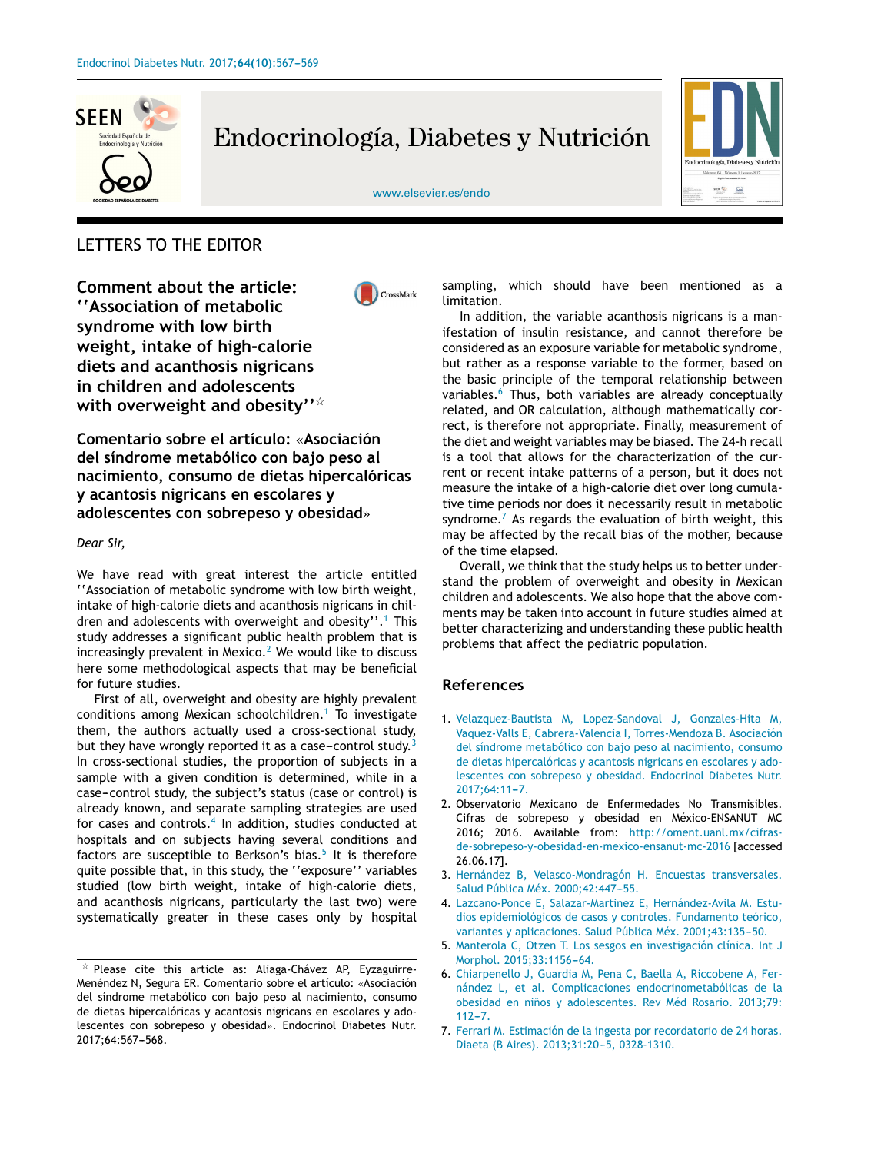

# Endocrinología, Diabetes y Nutrición



#### [www.elsevier.es/endo](http://www.elsevier.es/endo)

## LETTERS TO THE EDITOR

**Comment about the article: ''Association of metabolic syndrome with low birth weight, intake of high-calorie diets and acanthosis nigricans in children and adolescents with overweight and obesity''**-



**Comentario sobre el artículo:** «**Asociación del síndrome metabólico con bajo peso al nacimiento, consumo de dietas hipercalóricas y acantosis nigricans en escolares y adolescentes con sobrepeso y obesidad**»

#### *Dear Sir,*

We have read with great interest the article entitled ''Association of metabolic syndrome with low birth weight, intake of high-calorie diets and acanthosis nigricans in children and adolescents with overweight and obesity".<sup>1</sup> This study addresses a significant public health problem that is increasingly prevalent in Mexico. $<sup>2</sup>$  We would like to discuss</sup> here some methodological aspects that may be beneficial for future studies.

First of all, overweight and obesity are highly prevalent conditions among Mexican schoolchildren.<sup>1</sup> To investigate them, the authors actually used a cross-sectional study, but they have wrongly reported it as a case-control study.<sup>3</sup> In cross-sectional studies, the proportion of subjects in a sample with a given condition is determined, while in a case-control study, the subject's status (case or control) is already known, and separate sampling strategies are used for cases and controls.<sup>4</sup> In addition, studies conducted at hospitals and on subjects having several conditions and factors are susceptible to Berkson's bias.<sup>5</sup> It is therefore quite possible that, in this study, the ''exposure'' variables studied (low birth weight, intake of high-calorie diets, and acanthosis nigricans, particularly the last two) were systematically greater in these cases only by hospital sampling, which should have been mentioned as a limitation.

In addition, the variable acanthosis nigricans is a manifestation of insulin resistance, and cannot therefore be considered as an exposure variable for metabolic syndrome, but rather as a response variable to the former, based on the basic principle of the temporal relationship between variables.<sup>6</sup> Thus, both variables are already conceptually related, and OR calculation, although mathematically correct, is therefore not appropriate. Finally, measurement of the diet and weight variables may be biased. The 24-h recall is a tool that allows for the characterization of the current or recent intake patterns of a person, but it does not measure the intake of a high-calorie diet over long cumulative time periods nor does it necessarily result in metabolic syndrome.<sup>7</sup> As regards the evaluation of birth weight, this may be affected by the recall bias of the mother, because of the time elapsed.

Overall, we think that the study helps us to better understand the problem of overweight and obesity in Mexican children and adolescents. We also hope that the above comments may be taken into account in future studies aimed at better characterizing and understanding these public health problems that affect the pediatric population.

### **References**

- 1. [Velazquez-Bautista](http://refhub.elsevier.com/S2530-0180(17)30160-9/sbref0040) [M,](http://refhub.elsevier.com/S2530-0180(17)30160-9/sbref0040) [Lopez-Sandoval](http://refhub.elsevier.com/S2530-0180(17)30160-9/sbref0040) [J,](http://refhub.elsevier.com/S2530-0180(17)30160-9/sbref0040) [Gonzales-Hita](http://refhub.elsevier.com/S2530-0180(17)30160-9/sbref0040) [M,](http://refhub.elsevier.com/S2530-0180(17)30160-9/sbref0040) [Vaquez-Valls](http://refhub.elsevier.com/S2530-0180(17)30160-9/sbref0040) [E,](http://refhub.elsevier.com/S2530-0180(17)30160-9/sbref0040) [Cabrera-Valencia](http://refhub.elsevier.com/S2530-0180(17)30160-9/sbref0040) [I,](http://refhub.elsevier.com/S2530-0180(17)30160-9/sbref0040) [Torres-Mendoza](http://refhub.elsevier.com/S2530-0180(17)30160-9/sbref0040) [B.](http://refhub.elsevier.com/S2530-0180(17)30160-9/sbref0040) [Asociación](http://refhub.elsevier.com/S2530-0180(17)30160-9/sbref0040) [del](http://refhub.elsevier.com/S2530-0180(17)30160-9/sbref0040) [síndrome](http://refhub.elsevier.com/S2530-0180(17)30160-9/sbref0040) [metabólico](http://refhub.elsevier.com/S2530-0180(17)30160-9/sbref0040) [con](http://refhub.elsevier.com/S2530-0180(17)30160-9/sbref0040) [bajo](http://refhub.elsevier.com/S2530-0180(17)30160-9/sbref0040) [peso](http://refhub.elsevier.com/S2530-0180(17)30160-9/sbref0040) [al](http://refhub.elsevier.com/S2530-0180(17)30160-9/sbref0040) [nacimiento,](http://refhub.elsevier.com/S2530-0180(17)30160-9/sbref0040) [consumo](http://refhub.elsevier.com/S2530-0180(17)30160-9/sbref0040) [de](http://refhub.elsevier.com/S2530-0180(17)30160-9/sbref0040) [dietas](http://refhub.elsevier.com/S2530-0180(17)30160-9/sbref0040) [hipercalóricas](http://refhub.elsevier.com/S2530-0180(17)30160-9/sbref0040) [y](http://refhub.elsevier.com/S2530-0180(17)30160-9/sbref0040) [acantosis](http://refhub.elsevier.com/S2530-0180(17)30160-9/sbref0040) [nigricans](http://refhub.elsevier.com/S2530-0180(17)30160-9/sbref0040) [en](http://refhub.elsevier.com/S2530-0180(17)30160-9/sbref0040) [escolares](http://refhub.elsevier.com/S2530-0180(17)30160-9/sbref0040) [y](http://refhub.elsevier.com/S2530-0180(17)30160-9/sbref0040) [ado](http://refhub.elsevier.com/S2530-0180(17)30160-9/sbref0040)[lescentes](http://refhub.elsevier.com/S2530-0180(17)30160-9/sbref0040) [con](http://refhub.elsevier.com/S2530-0180(17)30160-9/sbref0040) [sobrepeso](http://refhub.elsevier.com/S2530-0180(17)30160-9/sbref0040) [y](http://refhub.elsevier.com/S2530-0180(17)30160-9/sbref0040) [obesidad.](http://refhub.elsevier.com/S2530-0180(17)30160-9/sbref0040) [Endocrinol](http://refhub.elsevier.com/S2530-0180(17)30160-9/sbref0040) [Diabetes](http://refhub.elsevier.com/S2530-0180(17)30160-9/sbref0040) [Nutr.](http://refhub.elsevier.com/S2530-0180(17)30160-9/sbref0040) 2017;64:11-7.
- 2. Observatorio Mexicano de Enfermedades No Transmisibles. Cifras de sobrepeso y obesidad en México-ENSANUT MC 2016; 2016. Available from: [http://oment.uanl.mx/cifras](http://oment.uanl.mx/cifras-de-sobrepeso-y-obesidad-en-mexico-ensanut-mc-2016)[de-sobrepeso-y-obesidad-en-mexico-ensanut-mc-2016](http://oment.uanl.mx/cifras-de-sobrepeso-y-obesidad-en-mexico-ensanut-mc-2016) [accessed 26.06.17].
- 3. [Hernández](http://refhub.elsevier.com/S2530-0180(17)30160-9/sbref0050) [B,](http://refhub.elsevier.com/S2530-0180(17)30160-9/sbref0050) [Velasco-Mondragón](http://refhub.elsevier.com/S2530-0180(17)30160-9/sbref0050) [H.](http://refhub.elsevier.com/S2530-0180(17)30160-9/sbref0050) [Encuestas](http://refhub.elsevier.com/S2530-0180(17)30160-9/sbref0050) [transversales.](http://refhub.elsevier.com/S2530-0180(17)30160-9/sbref0050) [Salud](http://refhub.elsevier.com/S2530-0180(17)30160-9/sbref0050) [Pública](http://refhub.elsevier.com/S2530-0180(17)30160-9/sbref0050) [Méx.](http://refhub.elsevier.com/S2530-0180(17)30160-9/sbref0050) 2000;42:447-55.
- 4. [Lazcano-Ponce](http://refhub.elsevier.com/S2530-0180(17)30160-9/sbref0055) [E,](http://refhub.elsevier.com/S2530-0180(17)30160-9/sbref0055) [Salazar-Martinez](http://refhub.elsevier.com/S2530-0180(17)30160-9/sbref0055) [E,](http://refhub.elsevier.com/S2530-0180(17)30160-9/sbref0055) [Hernández-Avila](http://refhub.elsevier.com/S2530-0180(17)30160-9/sbref0055) [M.](http://refhub.elsevier.com/S2530-0180(17)30160-9/sbref0055) [Estu](http://refhub.elsevier.com/S2530-0180(17)30160-9/sbref0055)[dios](http://refhub.elsevier.com/S2530-0180(17)30160-9/sbref0055) [epidemiológicos](http://refhub.elsevier.com/S2530-0180(17)30160-9/sbref0055) [de](http://refhub.elsevier.com/S2530-0180(17)30160-9/sbref0055) [casos](http://refhub.elsevier.com/S2530-0180(17)30160-9/sbref0055) [y](http://refhub.elsevier.com/S2530-0180(17)30160-9/sbref0055) [controles.](http://refhub.elsevier.com/S2530-0180(17)30160-9/sbref0055) [Fundamento](http://refhub.elsevier.com/S2530-0180(17)30160-9/sbref0055) [teórico,](http://refhub.elsevier.com/S2530-0180(17)30160-9/sbref0055) [variantes](http://refhub.elsevier.com/S2530-0180(17)30160-9/sbref0055) [y](http://refhub.elsevier.com/S2530-0180(17)30160-9/sbref0055) [aplicaciones.](http://refhub.elsevier.com/S2530-0180(17)30160-9/sbref0055) [Salud](http://refhub.elsevier.com/S2530-0180(17)30160-9/sbref0055) [Pública](http://refhub.elsevier.com/S2530-0180(17)30160-9/sbref0055) [Méx.](http://refhub.elsevier.com/S2530-0180(17)30160-9/sbref0055) 2001;43:135-50.
- 5. [Manterola](http://refhub.elsevier.com/S2530-0180(17)30160-9/sbref0060) [C,](http://refhub.elsevier.com/S2530-0180(17)30160-9/sbref0060) [Otzen](http://refhub.elsevier.com/S2530-0180(17)30160-9/sbref0060) [T.](http://refhub.elsevier.com/S2530-0180(17)30160-9/sbref0060) [Los](http://refhub.elsevier.com/S2530-0180(17)30160-9/sbref0060) [sesgos](http://refhub.elsevier.com/S2530-0180(17)30160-9/sbref0060) [en](http://refhub.elsevier.com/S2530-0180(17)30160-9/sbref0060) [investigación](http://refhub.elsevier.com/S2530-0180(17)30160-9/sbref0060) [clínica.](http://refhub.elsevier.com/S2530-0180(17)30160-9/sbref0060) [Int](http://refhub.elsevier.com/S2530-0180(17)30160-9/sbref0060) [J](http://refhub.elsevier.com/S2530-0180(17)30160-9/sbref0060) [Morphol.](http://refhub.elsevier.com/S2530-0180(17)30160-9/sbref0060) 2015;33:1156-64.
- 6. [Chiarpenello](http://refhub.elsevier.com/S2530-0180(17)30160-9/sbref0065) [J,](http://refhub.elsevier.com/S2530-0180(17)30160-9/sbref0065) [Guardia](http://refhub.elsevier.com/S2530-0180(17)30160-9/sbref0065) [M,](http://refhub.elsevier.com/S2530-0180(17)30160-9/sbref0065) [Pena](http://refhub.elsevier.com/S2530-0180(17)30160-9/sbref0065) [C,](http://refhub.elsevier.com/S2530-0180(17)30160-9/sbref0065) [Baella](http://refhub.elsevier.com/S2530-0180(17)30160-9/sbref0065) [A,](http://refhub.elsevier.com/S2530-0180(17)30160-9/sbref0065) [Riccobene](http://refhub.elsevier.com/S2530-0180(17)30160-9/sbref0065) [A,](http://refhub.elsevier.com/S2530-0180(17)30160-9/sbref0065) [Fer](http://refhub.elsevier.com/S2530-0180(17)30160-9/sbref0065)[nández](http://refhub.elsevier.com/S2530-0180(17)30160-9/sbref0065) [L,](http://refhub.elsevier.com/S2530-0180(17)30160-9/sbref0065) [et](http://refhub.elsevier.com/S2530-0180(17)30160-9/sbref0065) [al.](http://refhub.elsevier.com/S2530-0180(17)30160-9/sbref0065) [Complicaciones](http://refhub.elsevier.com/S2530-0180(17)30160-9/sbref0065) [endocrinometabólicas](http://refhub.elsevier.com/S2530-0180(17)30160-9/sbref0065) [de](http://refhub.elsevier.com/S2530-0180(17)30160-9/sbref0065) [la](http://refhub.elsevier.com/S2530-0180(17)30160-9/sbref0065) [obesidad](http://refhub.elsevier.com/S2530-0180(17)30160-9/sbref0065) [en](http://refhub.elsevier.com/S2530-0180(17)30160-9/sbref0065) niños [y](http://refhub.elsevier.com/S2530-0180(17)30160-9/sbref0065) [adolescentes.](http://refhub.elsevier.com/S2530-0180(17)30160-9/sbref0065) [Rev](http://refhub.elsevier.com/S2530-0180(17)30160-9/sbref0065) [Méd](http://refhub.elsevier.com/S2530-0180(17)30160-9/sbref0065) [Rosario.](http://refhub.elsevier.com/S2530-0180(17)30160-9/sbref0065) [2013;79:](http://refhub.elsevier.com/S2530-0180(17)30160-9/sbref0065)  $112 - 7.$
- 7. [Ferrari](http://refhub.elsevier.com/S2530-0180(17)30160-9/sbref0070) [M.](http://refhub.elsevier.com/S2530-0180(17)30160-9/sbref0070) [Estimación](http://refhub.elsevier.com/S2530-0180(17)30160-9/sbref0070) [de](http://refhub.elsevier.com/S2530-0180(17)30160-9/sbref0070) [la](http://refhub.elsevier.com/S2530-0180(17)30160-9/sbref0070) [ingesta](http://refhub.elsevier.com/S2530-0180(17)30160-9/sbref0070) [por](http://refhub.elsevier.com/S2530-0180(17)30160-9/sbref0070) [recordatorio](http://refhub.elsevier.com/S2530-0180(17)30160-9/sbref0070) [de](http://refhub.elsevier.com/S2530-0180(17)30160-9/sbref0070) [24](http://refhub.elsevier.com/S2530-0180(17)30160-9/sbref0070) [horas.](http://refhub.elsevier.com/S2530-0180(17)30160-9/sbref0070) [Diaeta](http://refhub.elsevier.com/S2530-0180(17)30160-9/sbref0070) [\(B](http://refhub.elsevier.com/S2530-0180(17)30160-9/sbref0070) [Aires\).](http://refhub.elsevier.com/S2530-0180(17)30160-9/sbref0070) [2013;31:20](http://refhub.elsevier.com/S2530-0180(17)30160-9/sbref0070)-[5,](http://refhub.elsevier.com/S2530-0180(17)30160-9/sbref0070) [0328-1310.](http://refhub.elsevier.com/S2530-0180(17)30160-9/sbref0070)

 $\frac{1}{24}$  Please cite this article as: Aliaga-Chávez AP, Eyzaguirre-Menéndez N, Segura ER. Comentario sobre el artículo: «Asociación del síndrome metabólico con bajo peso al nacimiento, consumo de dietas hipercalóricas y acantosis nigricans en escolares y adolescentes con sobrepeso y obesidad». Endocrinol Diabetes Nutr. 2017;64:567-568.